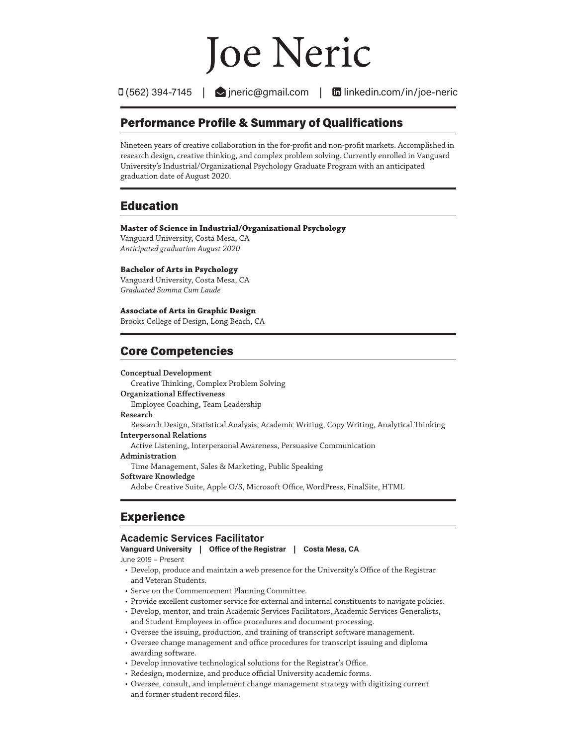# Joe Neric

 $\Box$  (562) 394-7145  $\Box$  ineric@gmail.com  $\Box$  linkedin.com/in/joe-neric

## Performance Profile & Summary of Qualifications

Nineteen years of creative collaboration in the for-profit and non-profit markets. Accomplished in research design, creative thinking, and complex problem solving. Currently enrolled in Vanguard University's Industrial/Organizational Psychology Graduate Program with an anticipated graduation date of August 2020.

# Education

#### **Master of Science in Industrial/Organizational Psychology**

Vanguard University, Costa Mesa, CA *Anticipated graduation August 2020*

#### **Bachelor of Arts in Psychology**

Vanguard University, Costa Mesa, CA *Graduated Summa Cum Laude*

**Associate of Arts in Graphic Design**

Brooks College of Design, Long Beach, CA

# Core Competencies

#### **Conceptual Development** Creative Thinking, Complex Problem Solving **Organizational Effectiveness** Employee Coaching, Team Leadership **Research** Research Design, Statistical Analysis, Academic Writing, Copy Writing, Analytical Thinking **Interpersonal Relations** Active Listening, Interpersonal Awareness, Persuasive Communication **Administration** Time Management, Sales & Marketing, Public Speaking **Software Knowledge** Adobe Creative Suite, Apple O/S, Microsoft Office, WordPress, FinalSite, HTML

# Experience

## **Academic Services Facilitator**

**Vanguard University | Office of the Registrar | Costa Mesa, CA** June 2019 – Present

- Develop, produce and maintain a web presence for the University's Office of the Registrar and Veteran Students.
- Serve on the Commencement Planning Committee.
- Provide excellent customer service for external and internal constituents to navigate policies.
- Develop, mentor, and train Academic Services Facilitators, Academic Services Generalists, and Student Employees in office procedures and document processing.
- Oversee the issuing, production, and training of transcript software management.
- Oversee change management and office procedures for transcript issuing and diploma awarding software.
- Develop innovative technological solutions for the Registrar's Office.
- Redesign, modernize, and produce official University academic forms.
- Oversee, consult, and implement change management strategy with digitizing current and former student record files.